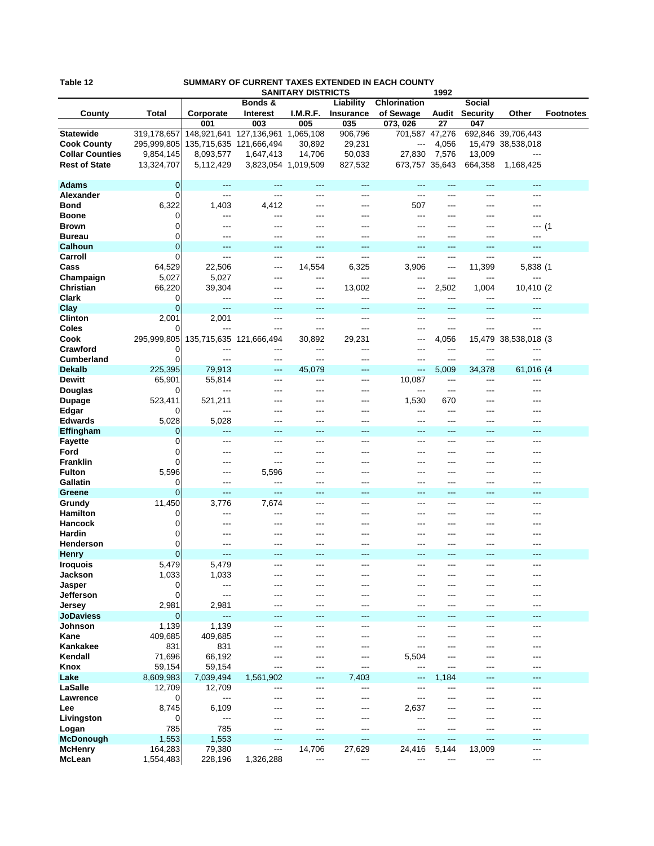| Table |  |  |  |  |
|-------|--|--|--|--|
|-------|--|--|--|--|

## **SUMMARY OF CURRENT TAXES EXTENDED IN EACH COUNTY**

|                        |             | <b>SANITARY DISTRICTS</b> |                                   |          |           |                | 1992  |                 |                      |                  |
|------------------------|-------------|---------------------------|-----------------------------------|----------|-----------|----------------|-------|-----------------|----------------------|------------------|
|                        |             |                           | Bonds &                           |          | Liability | Chlorination   |       | <b>Social</b>   |                      |                  |
| County                 | Total       | Corporate                 | Interest                          | I.M.R.F. | Insurance | of Sewage      | Audit | <b>Security</b> | Other                | <b>Footnotes</b> |
|                        |             | 001                       | 003                               | 005      | 035       | 073, 026       | 27    | 047             |                      |                  |
| <b>Statewide</b>       | 319,178,657 |                           | 148,921,641 127,136,961 1,065,108 |          | 906,796   | 701,587 47,276 |       |                 | 692,846 39,706,443   |                  |
| <b>Cook County</b>     | 295,999,805 | 135,715,635 121,666,494   |                                   | 30,892   | 29,231    | ---            | 4,056 |                 | 15,479 38,538,018    |                  |
| <b>Collar Counties</b> | 9,854,145   | 8,093,577                 | 1,647,413                         | 14,706   | 50,033    | 27,830         | 7,576 | 13,009          | $---$                |                  |
| <b>Rest of State</b>   | 13,324,707  | 5,112,429                 | 3,823,054 1,019,509               |          | 827,532   | 673,757 35,643 |       | 664,358         | 1,168,425            |                  |
|                        |             |                           |                                   |          |           |                |       |                 |                      |                  |
| <b>Adams</b>           | 0           | ---                       | ---                               | $---$    | ---       | ---            | ---   | ---             | $---$                |                  |
| Alexander              | 0           | ---                       | $---$                             | ---      | ---       | ---            | ---   | ---             | ---                  |                  |
| <b>Bond</b>            | 6,322       | 1,403                     | 4,412                             | ---      | ---       | 507            | ---   | ---             | ---                  |                  |
| <b>Boone</b>           | 0           | ---                       | ---                               | ---      | ---       | ---            | ---   | ---             | ---                  |                  |
| <b>Brown</b>           | 0           | ---                       | ---                               |          | ---       | ---            | ---   | ---             | ---(1                |                  |
| <b>Bureau</b>          | 0           | ---                       | ---                               |          | ---       | ---            | ---   | ---             | ---                  |                  |
| <b>Calhoun</b>         | 0           | ---                       | ---                               | ---      | ---       | ---            | ---   | ---             | ---                  |                  |
| Carroll                | 0           | ---                       | $---$                             | ---      | ---       | ---            | ---   | ---             | ---                  |                  |
| Cass                   | 64,529      | 22,506                    | ---                               | 14,554   | 6,325     | 3,906          | ---   | 11,399          | 5,838 (1             |                  |
| Champaign              | 5,027       | 5,027                     | ---                               | ---      | ---       | ---            | ---   | ---             | ---                  |                  |
| <b>Christian</b>       | 66,220      | 39,304                    | ---                               | ---      | 13,002    | ---            | 2,502 | 1,004           | 10,410 (2            |                  |
| <b>Clark</b>           | 0           | ---                       |                                   | ---      | ---       | ---            | ---   | ---             | ---                  |                  |
| <b>Clay</b>            | 0           | ---                       | ---                               | ---      | ---       | ---            | ---   | ---             | ---                  |                  |
| <b>Clinton</b>         | 2,001       | 2,001                     | $---$                             | ---      | $---$     | ---            | $---$ | ---             | ---                  |                  |
| Coles                  |             | ---                       | ---                               | ---      | ---       | ---            | ---   | ---             | ---                  |                  |
| Cook                   | 295,999,805 | 135,715,635 121,666,494   |                                   | 30,892   | 29,231    | ---            | 4,056 |                 | 15,479 38,538,018 (3 |                  |
| Crawford               | 0           |                           | ---                               | ---      | ---       |                | ---   | ---             | ---                  |                  |
| <b>Cumberland</b>      | 0           | ---                       | ---                               | ---      | ---       | ---            | ---   | ---             | ---                  |                  |
| <b>Dekalb</b>          | 225,395     | 79,913                    | $---$                             | 45,079   | ---       | ---            | 5,009 | 34,378          | 61,016 (4            |                  |
| <b>Dewitt</b>          | 65,901      | 55,814                    | $---$                             | ---      | ---       | 10,087         | ---   | ---             | ---                  |                  |
| Douglas                | O           |                           | ---                               | ---      | ---       | ---            | ---   | ---             | ---                  |                  |
| <b>Dupage</b>          | 523,411     | 521,211                   |                                   |          | ---       | 1,530          | 670   | ---             |                      |                  |
| Edgar                  |             | ---                       | ---                               | ---      | ---       | ---            | ---   | ---             | ---                  |                  |
| <b>Edwards</b>         | 5,028       | 5,028                     | $---$                             | ---      | ---       | ---            | ---   | ---             | ---                  |                  |
| Effingham              | 0           | ---                       | ---                               | ---      | ---       | ---            | ---   | ---             | ---                  |                  |
| <b>Fayette</b>         | 0           | ---                       | $---$                             | ---      | ---       | ---            | ---   | ---             | ---                  |                  |
| Ford                   | 0           |                           | ---                               |          | ---       | ---            | ---   |                 |                      |                  |
| <b>Franklin</b>        | 0           | ---                       | ---                               | ---      | ---       | ---            | ---   | ---             | ---                  |                  |
| <b>Fulton</b>          | 5,596       | ---                       | 5,596                             | ---      | ---       | ---            | ---   | ---             | ---                  |                  |
| Gallatin               | 0           | ---                       | ---                               | ---      | ---       | ---            | ---   | ---             | ---                  |                  |
| Greene                 | 0           | $---$                     | $---$                             | ---      | ---       | ---            | ---   | ---             | ---                  |                  |
| Grundy                 | 11,450      | 3,776                     | 7,674                             | ---      | ---       | ---            | ---   | ---             |                      |                  |
| <b>Hamilton</b>        | O           | ---                       | ---                               | ---      | ---       | ---            | ---   | ---             | ---                  |                  |
| <b>Hancock</b>         | 0           | ---                       | ---                               | ---      | ---       | ---            | ---   | ---             | ---                  |                  |
| Hardin                 | 0           |                           |                                   |          | ---       | ---            | ---   | ---             | ---                  |                  |
| <b>Henderson</b>       | 0           | ---                       | ---                               |          | ---       | ---            | ---   | ---             | ---                  |                  |
| <b>Henry</b>           | 0           | ---                       | ---                               | ---      | ---       | ---            | ---   | ---             | ---                  |                  |
| <b>Iroquois</b>        | 5,479       | 5,479                     | ---                               | ---      | ---       | ---            | ---   | ---             | ---                  |                  |
| Jackson                | 1,033       | 1,033                     | ---                               | ---      | ---       | ---            | ---   |                 | ---                  |                  |
| Jasper                 | 0           | ---                       |                                   |          | ---       | ---            | ---   |                 | ---                  |                  |
| Jefferson              | 0           | ---                       | ---                               | ---      | ---       | ---            | ---   | ---             | ---                  |                  |
| Jersey                 | 2,981       | 2,981                     | ---                               | ---      | ---       | ---            | ---   |                 | ---                  |                  |
| <b>JoDaviess</b>       | 0           | $\overline{a}$            | ---                               | ---      | ---       | ---            | ---   | ---             | ---                  |                  |
| Johnson                | 1,139       | 1,139                     | $---$                             | ---      | $---$     | ---            | ---   | ---             | $---$                |                  |
| Kane                   | 409,685     | 409,685                   | ---                               |          | ---       | ---            | ---   | ---             | ---                  |                  |
| Kankakee               | 831         | 831                       | ---                               | ---      | ---       | ---            | ---   | ---             | ---                  |                  |
| Kendall                | 71,696      | 66,192                    | ---                               |          | ---       | 5,504          | ---   |                 |                      |                  |
| Knox                   | 59,154      | 59,154                    | $\overline{a}$                    | ---      | $---$     | ---            | ---   | ---             | ---                  |                  |
| Lake                   | 8,609,983   | 7,039,494                 | 1,561,902                         | ---      | 7,403     | $---$          | 1.184 | ---             | ---                  |                  |
| LaSalle                | 12,709      | 12,709                    | ---                               | ---      | ---       | ---            | ---   | ---             | ---                  |                  |
| Lawrence               | 0           | ---                       | $---$                             | ---      | ---       | ---            | ---   | ---             | ---                  |                  |
| Lee                    | 8,745       | 6,109                     | ---                               |          | ---       | 2,637          | ---   |                 | ---                  |                  |
| Livingston             | 0           | $\overline{\phantom{a}}$  | ---                               | ---      | ---       | ---            | ---   | ---             | ---                  |                  |
| Logan                  | 785         | 785                       | $---$                             | ---      | $---$     | ---            | ---   | ---             | ---                  |                  |
| <b>McDonough</b>       | 1,553       | 1,553                     | ---                               | ---      | ---       | ---            | ---   | ---             | ---                  |                  |
| <b>McHenry</b>         | 164,283     | 79,380                    | $\cdots$                          | 14,706   | 27,629    | 24,416         | 5,144 | 13,009          | ---                  |                  |
| McLean                 | 1,554,483   | 228,196                   | 1,326,288                         | ---      | ---       | ---            | ---   | ---             | ---                  |                  |